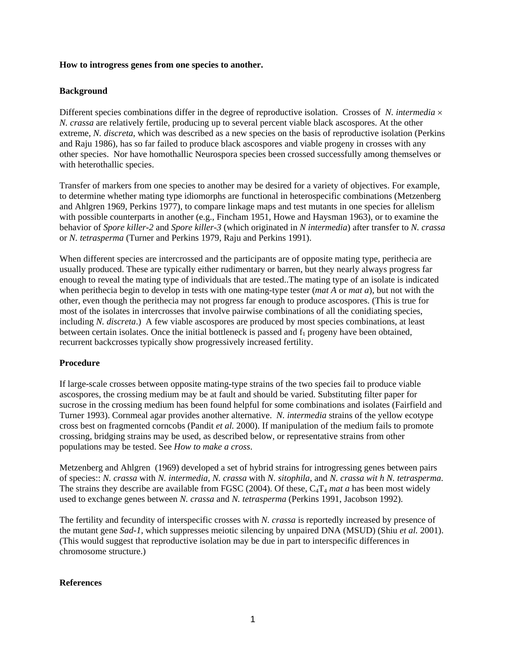## **How to introgress genes from one species to another.**

## **Background**

Different species combinations differ in the degree of reproductive isolation. Crosses of *N. intermedia* × *N. crassa* are relatively fertile, producing up to several percent viable black ascospores. At the other extreme, *N. discreta*, which was described as a new species on the basis of reproductive isolation (Perkins and Raju 1986), has so far failed to produce black ascospores and viable progeny in crosses with any other species. Nor have homothallic Neurospora species been crossed successfully among themselves or with heterothallic species.

Transfer of markers from one species to another may be desired for a variety of objectives. For example, to determine whether mating type idiomorphs are functional in heterospecific combinations (Metzenberg and Ahlgren 1969, Perkins 1977), to compare linkage maps and test mutants in one species for allelism with possible counterparts in another (e.g., Fincham 1951, Howe and Haysman 1963), or to examine the behavior of *Spore killer-2* and *Spore killer-3* (which originated in *N intermedia*) after transfer to *N. crassa* or *N. tetrasperma* (Turner and Perkins 1979, Raju and Perkins 1991).

When different species are intercrossed and the participants are of opposite mating type, perithecia are usually produced. These are typically either rudimentary or barren, but they nearly always progress far enough to reveal the mating type of individuals that are tested..The mating type of an isolate is indicated when perithecia begin to develop in tests with one mating-type tester (*mat A* or *mat a*), but not with the other, even though the perithecia may not progress far enough to produce ascospores. (This is true for most of the isolates in intercrosses that involve pairwise combinations of all the conidiating species, including *N. discreta*.) A few viable ascospores are produced by most species combinations, at least between certain isolates. Once the initial bottleneck is passed and  $f_1$  progeny have been obtained, recurrent backcrosses typically show progressively increased fertility.

## **Procedure**

If large-scale crosses between opposite mating-type strains of the two species fail to produce viable ascospores, the crossing medium may be at fault and should be varied. Substituting filter paper for sucrose in the crossing medium has been found helpful for some combinations and isolates (Fairfield and Turner 1993). Cornmeal agar provides another alternative. *N. intermedia* strains of the yellow ecotype cross best on fragmented corncobs (Pandit *et al.* 2000). If manipulation of the medium fails to promote crossing, bridging strains may be used, as described below, or representative strains from other populations may be tested. See *How to make a cross*.

Metzenberg and Ahlgren (1969) developed a set of hybrid strains for introgressing genes between pairs of species:: *N. crassa* with *N. intermedia, N. crassa* with *N. sitophila,* and *N. crassa wit h N. tetrasperma*. The strains they describe are available from FGSC (2004). Of these, C<sub>4</sub>T<sub>4</sub> mat a has been most widely used to exchange genes between *N. crassa* and *N. tetrasperma* (Perkins 1991, Jacobson 1992).

The fertility and fecundity of interspecific crosses with *N. crassa* is reportedly increased by presence of the mutant gene *Sad-1*, which suppresses meiotic silencing by unpaired DNA (MSUD) (Shiu *et al.* 2001). (This would suggest that reproductive isolation may be due in part to interspecific differences in chromosome structure.)

## **References**